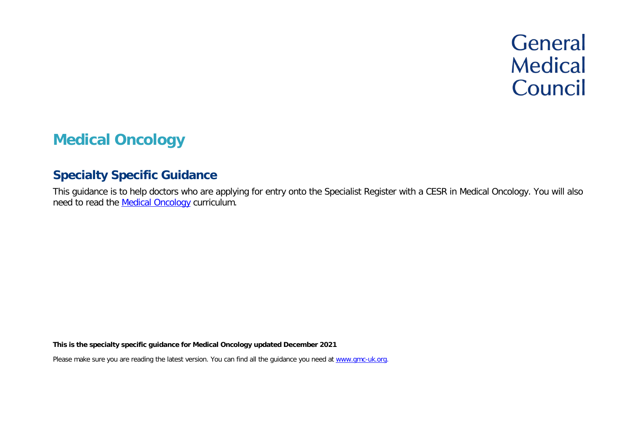# **General Medical** Council

# **Medical Oncology**

# **Specialty Specific Guidance**

This guidance is to help doctors who are applying for entry onto the Specialist Register with a CESR in Medical Oncology. You will also need to read the [Medical Oncology](https://www.jrcptb.org.uk/sites/default/files/Medical%20Oncology%202021%20Curriculum%20FINAL.pdf) curriculum.

**This is the specialty specific guidance for Medical Oncology updated December 2021**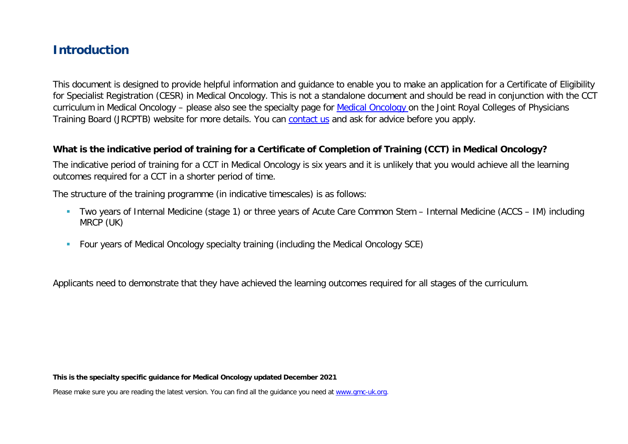# **Introduction**

This document is designed to provide helpful information and guidance to enable you to make an application for a Certificate of Eligibility for Specialist Registration (CESR) in Medical Oncology. This is not a standalone document and should be read in conjunction with the CCT curriculum in Medical Oncology – please also see the specialty page for [Medical Oncology](https://www.jrcptb.org.uk/specialties/medical-oncology) on the Joint Royal Colleges of Physicians Training Board (JRCPTB) website for more details. You can [contact us](http://www.gmc-uk.org/about/contacts.asp) and ask for advice before you apply.

#### **What is the indicative period of training for a Certificate of Completion of Training (CCT) in Medical Oncology?**

The indicative period of training for a CCT in Medical Oncology is six years and it is unlikely that you would achieve all the learning outcomes required for a CCT in a shorter period of time.

The structure of the training programme (in indicative timescales) is as follows:

- Two years of Internal Medicine (stage 1) or three years of Acute Care Common Stem Internal Medicine (ACCS IM) including MRCP (UK)
- **Four years of Medical Oncology specialty training (including the Medical Oncology SCE)**

Applicants need to demonstrate that they have achieved the learning outcomes required for all stages of the curriculum.

**This is the specialty specific guidance for Medical Oncology updated December 2021**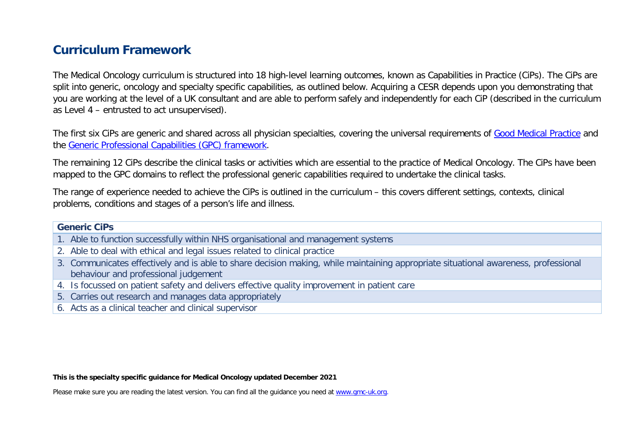# **Curriculum Framework**

The Medical Oncology curriculum is structured into 18 high-level learning outcomes, known as Capabilities in Practice (CiPs). The CiPs are split into generic, oncology and specialty specific capabilities, as outlined below. Acquiring a CESR depends upon you demonstrating that you are working at the level of a UK consultant and are able to perform safely and independently for each CiP (described in the curriculum as Level 4 – entrusted to act unsupervised).

The first six CiPs are generic and shared across all physician specialties, covering the universal requirements of [Good Medical Practice](https://www.gmc-uk.org/-/media/documents/good-medical-practice---english-20200128_pdf-51527435.pdf?la=en&hash=DA1263358CCA88F298785FE2BD7610EB4EE9A530) and the [Generic Professional Capabilities \(GPC\) framework.](https://www.gmc-uk.org/-/media/documents/generic-professional-capabilities-framework--0817_pdf-70417127.pdf)

The remaining 12 CiPs describe the clinical tasks or activities which are essential to the practice of Medical Oncology. The CiPs have been mapped to the GPC domains to reflect the professional generic capabilities required to undertake the clinical tasks.

The range of experience needed to achieve the CiPs is outlined in the curriculum – this covers different settings, contexts, clinical problems, conditions and stages of a person's life and illness.

#### **Generic CiPs**

- 1. Able to function successfully within NHS organisational and management systems
- 2. Able to deal with ethical and legal issues related to clinical practice
- 3. Communicates effectively and is able to share decision making, while maintaining appropriate situational awareness, professional behaviour and professional judgement
- 4. Is focussed on patient safety and delivers effective quality improvement in patient care
- 5. Carries out research and manages data appropriately
- 6. Acts as a clinical teacher and clinical supervisor

**This is the specialty specific guidance for Medical Oncology updated December 2021**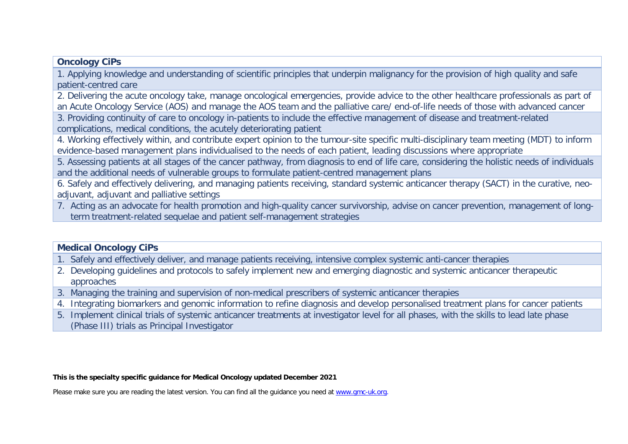#### **Oncology CiPs**

1. Applying knowledge and understanding of scientific principles that underpin malignancy for the provision of high quality and safe patient-centred care

2. Delivering the acute oncology take, manage oncological emergencies, provide advice to the other healthcare professionals as part of an Acute Oncology Service (AOS) and manage the AOS team and the palliative care/ end-of-life needs of those with advanced cancer

3. Providing continuity of care to oncology in-patients to include the effective management of disease and treatment-related complications, medical conditions, the acutely deteriorating patient

4. Working effectively within, and contribute expert opinion to the tumour-site specific multi-disciplinary team meeting (MDT) to inform evidence-based management plans individualised to the needs of each patient, leading discussions where appropriate

5. Assessing patients at all stages of the cancer pathway, from diagnosis to end of life care, considering the holistic needs of individuals and the additional needs of vulnerable groups to formulate patient-centred management plans

6. Safely and effectively delivering, and managing patients receiving, standard systemic anticancer therapy (SACT) in the curative, neoadjuvant, adjuvant and palliative settings

7. Acting as an advocate for health promotion and high-quality cancer survivorship, advise on cancer prevention, management of longterm treatment-related sequelae and patient self-management strategies

#### **Medical Oncology CiPs**

1. Safely and effectively deliver, and manage patients receiving, intensive complex systemic anti-cancer therapies

- 2. Developing guidelines and protocols to safely implement new and emerging diagnostic and systemic anticancer therapeutic approaches
- 3. Managing the training and supervision of non-medical prescribers of systemic anticancer therapies
- 4. Integrating biomarkers and genomic information to refine diagnosis and develop personalised treatment plans for cancer patients
- 5. Implement clinical trials of systemic anticancer treatments at investigator level for all phases, with the skills to lead late phase (Phase III) trials as Principal Investigator

**This is the specialty specific guidance for Medical Oncology updated December 2021**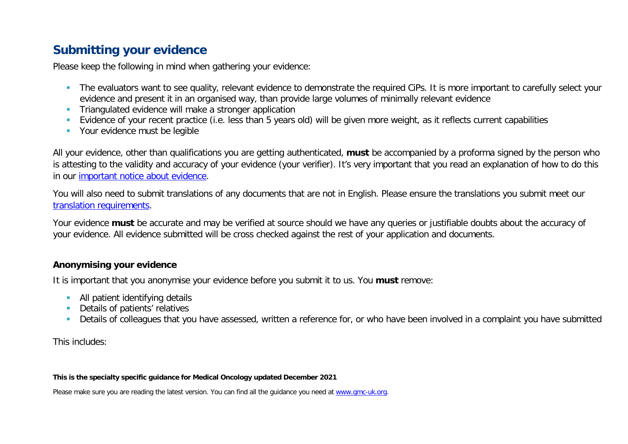# **Submitting your evidence**

Please keep the following in mind when gathering your evidence:

- The evaluators want to see quality, relevant evidence to demonstrate the required CiPs. It is more important to carefully select your evidence and present it in an organised way, than provide large volumes of minimally relevant evidence
- **Triangulated evidence will make a stronger application**
- Evidence of your recent practice (i.e. less than 5 years old) will be given more weight, as it reflects current capabilities
- **Your evidence must be legible**

All your evidence, other than qualifications you are getting authenticated, **must** be accompanied by a proforma signed by the person who is attesting to the validity and accuracy of your evidence (your verifier). It's very important that you read an explanation of how to do this in our [important notice about evidence.](http://www.gmc-uk.org/doctors/evidence_notice.asp)

You will also need to submit translations of any documents that are not in English. Please ensure the translations you submit meet our [translation requirements.](http://www.gmc-uk.org/doctors/translations.asp)

Your evidence **must** be accurate and may be verified at source should we have any queries or justifiable doubts about the accuracy of your evidence. All evidence submitted will be cross checked against the rest of your application and documents.

#### **Anonymising your evidence**

It is important that you anonymise your evidence before you submit it to us. You **must** remove:

- **All patient identifying details**
- **Details of patients' relatives**
- Details of colleagues that you have assessed, written a reference for, or who have been involved in a complaint you have submitted

This includes:

#### **This is the specialty specific guidance for Medical Oncology updated December 2021**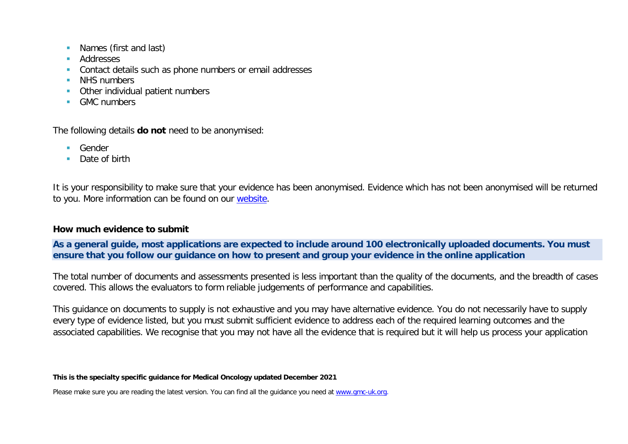- **Names (first and last)**
- **Addresses**
- **Contact details such as phone numbers or email addresses**
- **NHS numbers**
- **•** Other individual patient numbers
- **GMC** numbers

The following details **do not** need to be anonymised:

- **Gender**
- Date of birth

It is your responsibility to make sure that your evidence has been anonymised. Evidence which has not been anonymised will be returned to you. More information can be found on our [website.](https://www.gmc-uk.org/registration-and-licensing/join-the-register/registration-applications/cesr-cegpr-application-process/anonymisation)

#### **How much evidence to submit**

**As a general guide, most applications are expected to include around 100 electronically uploaded documents. You must ensure that you follow our guidance on how to present and group your evidence in the online application** 

The total number of documents and assessments presented is less important than the quality of the documents, and the breadth of cases covered. This allows the evaluators to form reliable judgements of performance and capabilities.

This guidance on documents to supply is not exhaustive and you may have alternative evidence. You do not necessarily have to supply every type of evidence listed, but you must submit sufficient evidence to address each of the required learning outcomes and the associated capabilities. We recognise that you may not have all the evidence that is required but it will help us process your application

**This is the specialty specific guidance for Medical Oncology updated December 2021**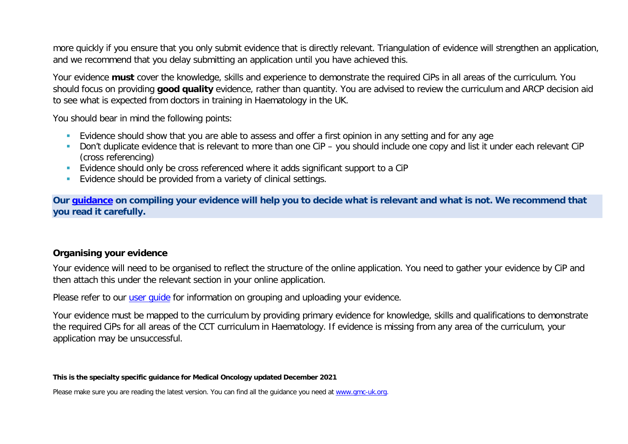more quickly if you ensure that you only submit evidence that is directly relevant. Triangulation of evidence will strengthen an application, and we recommend that you delay submitting an application until you have achieved this.

Your evidence **must** cover the knowledge, skills and experience to demonstrate the required CiPs in all areas of the curriculum. You should focus on providing **good quality** evidence, rather than quantity. You are advised to review the curriculum and ARCP decision aid to see what is expected from doctors in training in Haematology in the UK.

You should bear in mind the following points:

- **Evidence should show that you are able to assess and offer a first opinion in any setting and for any age**
- Don't duplicate evidence that is relevant to more than one CiP you should include one copy and list it under each relevant CiP (cross referencing)
- Evidence should only be cross referenced where it adds significant support to a CiP
- **Evidence should be provided from a variety of clinical settings.**

**Our [guidance](https://www.gmc-uk.org/-/media/documents/sat---cesr-cegpr-online-application---user-guide---dc11550_pdf-76194730.pdf) on compiling your evidence will help you to decide what is relevant and what is not. We recommend that you read it carefully.**

#### **Organising your evidence**

Your evidence will need to be organised to reflect the structure of the online application. You need to gather your evidence by CiP and then attach this under the relevant section in your online application.

Please refer to our user quide for information on grouping and uploading your evidence.

Your evidence must be mapped to the curriculum by providing primary evidence for knowledge, skills and qualifications to demonstrate the required CiPs for all areas of the CCT curriculum in Haematology. If evidence is missing from any area of the curriculum, your application may be unsuccessful.

**This is the specialty specific guidance for Medical Oncology updated December 2021**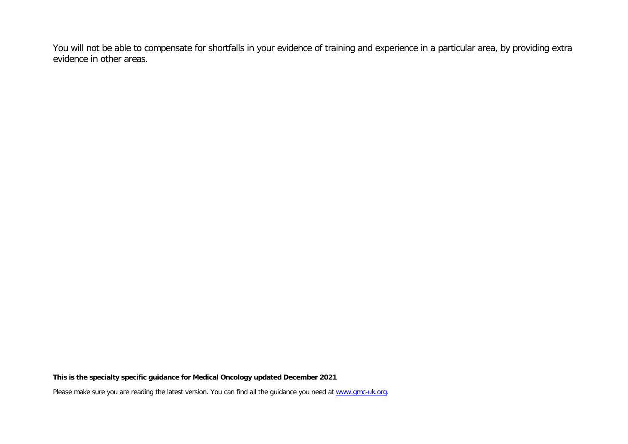You will not be able to compensate for shortfalls in your evidence of training and experience in a particular area, by providing extra evidence in other areas.

**This is the specialty specific guidance for Medical Oncology updated December 2021**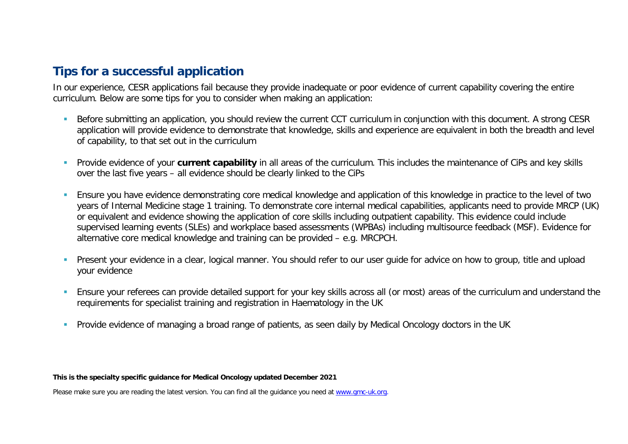# **Tips for a successful application**

In our experience, CESR applications fail because they provide inadequate or poor evidence of current capability covering the entire curriculum. Below are some tips for you to consider when making an application:

- Before submitting an application, you should review the current CCT curriculum in conjunction with this document. A strong CESR application will provide evidence to demonstrate that knowledge, skills and experience are equivalent in both the breadth and level of capability, to that set out in the curriculum
- **Provide evidence of your current capability** in all areas of the curriculum. This includes the maintenance of CiPs and key skills over the last five years – all evidence should be clearly linked to the CiPs
- Ensure you have evidence demonstrating core medical knowledge and application of this knowledge in practice to the level of two years of Internal Medicine stage 1 training. To demonstrate core internal medical capabilities, applicants need to provide MRCP (UK) or equivalent and evidence showing the application of core skills including outpatient capability. This evidence could include supervised learning events (SLEs) and workplace based assessments (WPBAs) including multisource feedback (MSF). Evidence for alternative core medical knowledge and training can be provided – e.g. MRCPCH.
- **Present your evidence in a clear, logical manner. You should refer to our user quide for advice on how to group, title and upload in Present Vour evidence in a clear, logical manner. You should refer to our user quide for** your evidence
- Ensure your referees can provide detailed support for your key skills across all (or most) areas of the curriculum and understand the requirements for specialist training and registration in Haematology in the UK
- **Provide evidence of managing a broad range of patients, as seen daily by Medical Oncology doctors in the UK**

**This is the specialty specific guidance for Medical Oncology updated December 2021**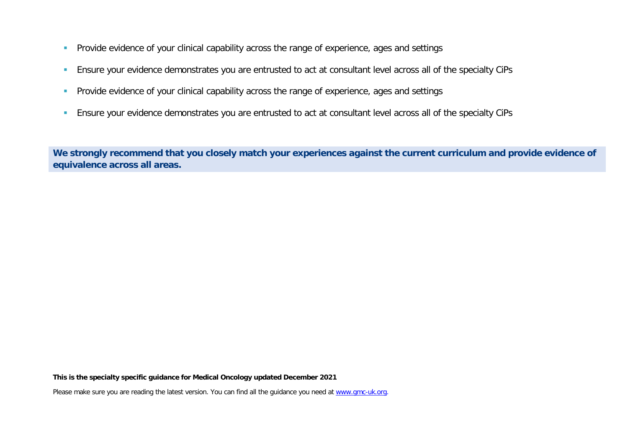- **Provide evidence of your clinical capability across the range of experience, ages and settings**
- Ensure your evidence demonstrates you are entrusted to act at consultant level across all of the specialty CiPs
- **Provide evidence of your clinical capability across the range of experience, ages and settings**
- **Ensure your evidence demonstrates you are entrusted to act at consultant level across all of the specialty CiPs**

**We strongly recommend that you closely match your experiences against the current curriculum and provide evidence of equivalence across all areas.** 

**This is the specialty specific guidance for Medical Oncology updated December 2021**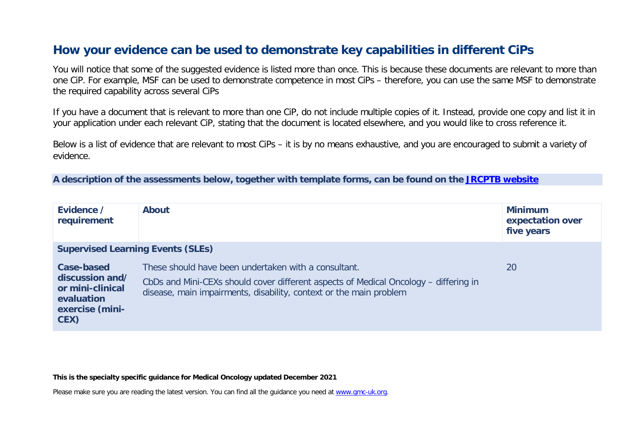# **How your evidence can be used to demonstrate key capabilities in different CiPs**

You will notice that some of the suggested evidence is listed more than once. This is because these documents are relevant to more than one CiP. For example, MSF can be used to demonstrate competence in most CiPs – therefore, you can use the same MSF to demonstrate the required capability across several CiPs

If you have a document that is relevant to more than one CiP, do not include multiple copies of it. Instead, provide one copy and list it in your application under each relevant CiP, stating that the document is located elsewhere, and you would like to cross reference it.

Below is a list of evidence that are relevant to most CiPs – it is by no means exhaustive, and you are encouraged to submit a variety of evidence.

**A description of the assessments below, together with template forms, can be found on the [JRCPTB website](https://www.jrcptb.org.uk/assessment/workplace-based-assessment)**

| Evidence /<br>requirement                                                                  | <b>About</b>                                                                                                                                                                                                       | <b>Minimum</b><br>expectation over<br>five years |
|--------------------------------------------------------------------------------------------|--------------------------------------------------------------------------------------------------------------------------------------------------------------------------------------------------------------------|--------------------------------------------------|
| <b>Supervised Learning Events (SLEs)</b>                                                   |                                                                                                                                                                                                                    |                                                  |
| Case-based<br>discussion and/<br>or mini-clinical<br>evaluation<br>exercise (mini-<br>CEX) | These should have been undertaken with a consultant.<br>CbDs and Mini-CEXs should cover different aspects of Medical Oncology - differing in<br>disease, main impairments, disability, context or the main problem | 20                                               |

**This is the specialty specific guidance for Medical Oncology updated December 2021**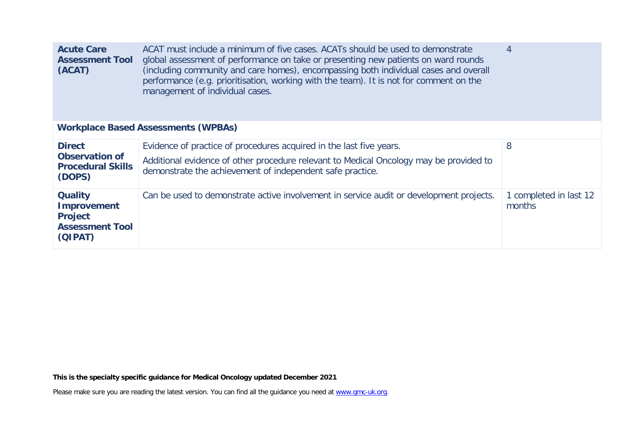| ACAT must include a minimum of five cases. ACATs should be used to demonstrate<br><b>Acute Care</b><br>global assessment of performance on take or presenting new patients on ward rounds<br><b>Assessment Tool</b><br>(including community and care homes), encompassing both individual cases and overall<br>(ACAT)<br>performance (e.g. prioritisation, working with the team). It is not for comment on the<br>management of individual cases. |                                                                                                                                                     |                                  |  |
|----------------------------------------------------------------------------------------------------------------------------------------------------------------------------------------------------------------------------------------------------------------------------------------------------------------------------------------------------------------------------------------------------------------------------------------------------|-----------------------------------------------------------------------------------------------------------------------------------------------------|----------------------------------|--|
|                                                                                                                                                                                                                                                                                                                                                                                                                                                    | <b>Workplace Based Assessments (WPBAs)</b>                                                                                                          |                                  |  |
| <b>Direct</b>                                                                                                                                                                                                                                                                                                                                                                                                                                      | Evidence of practice of procedures acquired in the last five years.                                                                                 | 8                                |  |
| <b>Observation of</b><br><b>Procedural Skills</b><br>(DOPS)                                                                                                                                                                                                                                                                                                                                                                                        | Additional evidence of other procedure relevant to Medical Oncology may be provided to<br>demonstrate the achievement of independent safe practice. |                                  |  |
| <b>Quality</b><br><b>Improvement</b><br><b>Project</b><br><b>Assessment Tool</b><br>(QIPAT)                                                                                                                                                                                                                                                                                                                                                        | Can be used to demonstrate active involvement in service audit or development projects.                                                             | 1 completed in last 12<br>months |  |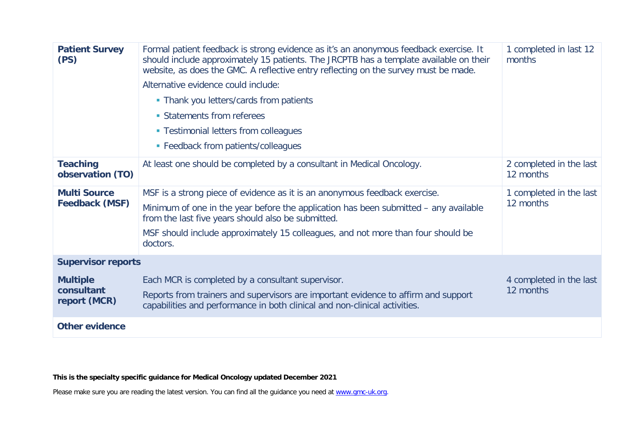| <b>Patient Survey</b><br>(PS)                 | Formal patient feedback is strong evidence as it's an anonymous feedback exercise. It<br>should include approximately 15 patients. The JRCPTB has a template available on their<br>website, as does the GMC. A reflective entry reflecting on the survey must be made.<br>Alternative evidence could include:<br>• Thank you letters/cards from patients<br>• Statements from referees<br>• Testimonial letters from colleagues<br>• Feedback from patients/colleagues | 1 completed in last 12<br>months     |
|-----------------------------------------------|------------------------------------------------------------------------------------------------------------------------------------------------------------------------------------------------------------------------------------------------------------------------------------------------------------------------------------------------------------------------------------------------------------------------------------------------------------------------|--------------------------------------|
| <b>Teaching</b><br>observation (TO)           | At least one should be completed by a consultant in Medical Oncology.                                                                                                                                                                                                                                                                                                                                                                                                  | 2 completed in the last<br>12 months |
| <b>Multi Source</b><br><b>Feedback (MSF)</b>  | MSF is a strong piece of evidence as it is an anonymous feedback exercise.<br>Minimum of one in the year before the application has been submitted – any available<br>from the last five years should also be submitted.<br>MSF should include approximately 15 colleagues, and not more than four should be<br>doctors.                                                                                                                                               | 1 completed in the last<br>12 months |
| <b>Supervisor reports</b>                     |                                                                                                                                                                                                                                                                                                                                                                                                                                                                        |                                      |
| <b>Multiple</b><br>consultant<br>report (MCR) | Each MCR is completed by a consultant supervisor.<br>Reports from trainers and supervisors are important evidence to affirm and support<br>capabilities and performance in both clinical and non-clinical activities.                                                                                                                                                                                                                                                  | 4 completed in the last<br>12 months |
| <b>Other evidence</b>                         |                                                                                                                                                                                                                                                                                                                                                                                                                                                                        |                                      |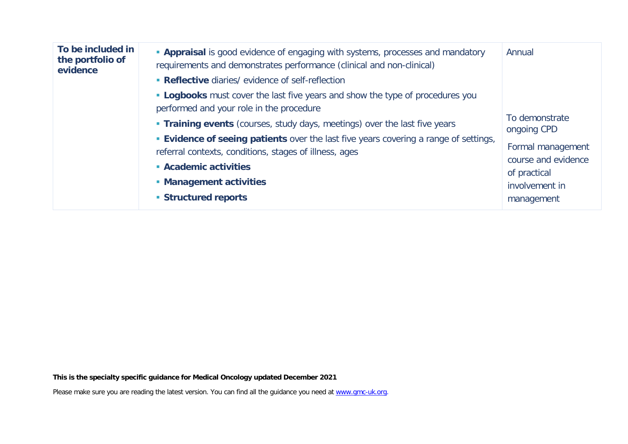| To be included in<br>the portfolio of<br>evidence | <b>Appraisal</b> is good evidence of engaging with systems, processes and mandatory<br>requirements and demonstrates performance (clinical and non-clinical)<br>• Reflective diaries/ evidence of self-reflection<br><b>- Logbooks</b> must cover the last five years and show the type of procedures you<br>performed and your role in the procedure | Annual<br>To demonstrate                                                                                |
|---------------------------------------------------|-------------------------------------------------------------------------------------------------------------------------------------------------------------------------------------------------------------------------------------------------------------------------------------------------------------------------------------------------------|---------------------------------------------------------------------------------------------------------|
|                                                   | <b>Training events</b> (courses, study days, meetings) over the last five years<br><b>Evidence of seeing patients</b> over the last five years covering a range of settings,<br>referral contexts, conditions, stages of illness, ages<br>• Academic activities<br>• Management activities<br>• Structured reports                                    | ongoing CPD<br>Formal management<br>course and evidence<br>of practical<br>involvement in<br>management |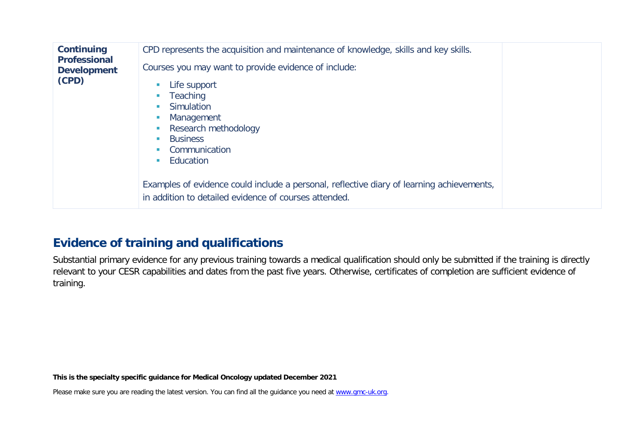| <b>Continuing</b><br><b>Professional</b><br><b>Development</b><br>(CPD) | CPD represents the acquisition and maintenance of knowledge, skills and key skills.<br>Courses you may want to provide evidence of include:<br>Life support<br>Teaching<br>Simulation<br>Management<br>Research methodology<br><b>Business</b><br>Communication<br>Education |  |
|-------------------------------------------------------------------------|------------------------------------------------------------------------------------------------------------------------------------------------------------------------------------------------------------------------------------------------------------------------------|--|
|                                                                         | Examples of evidence could include a personal, reflective diary of learning achievements,<br>in addition to detailed evidence of courses attended.                                                                                                                           |  |

# **Evidence of training and qualifications**

Substantial primary evidence for any previous training towards a medical qualification should only be submitted if the training is directly relevant to your CESR capabilities and dates from the past five years. Otherwise, certificates of completion are sufficient evidence of training.

**This is the specialty specific guidance for Medical Oncology updated December 2021**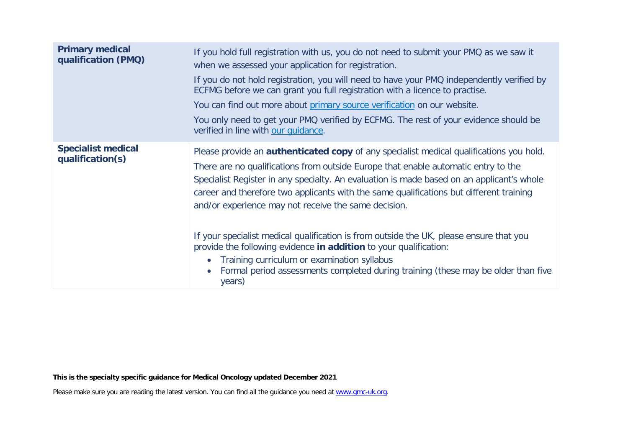| <b>Primary medical</b><br>qualification (PMQ) | If you hold full registration with us, you do not need to submit your PMQ as we saw it<br>when we assessed your application for registration.<br>If you do not hold registration, you will need to have your PMQ independently verified by<br>ECFMG before we can grant you full registration with a licence to practise.<br>You can find out more about primary source verification on our website.<br>You only need to get your PMQ verified by ECFMG. The rest of your evidence should be<br>verified in line with our quidance.                                                                  |
|-----------------------------------------------|------------------------------------------------------------------------------------------------------------------------------------------------------------------------------------------------------------------------------------------------------------------------------------------------------------------------------------------------------------------------------------------------------------------------------------------------------------------------------------------------------------------------------------------------------------------------------------------------------|
| <b>Specialist medical</b><br>qualification(s) | Please provide an <b>authenticated copy</b> of any specialist medical qualifications you hold.<br>There are no qualifications from outside Europe that enable automatic entry to the<br>Specialist Register in any specialty. An evaluation is made based on an applicant's whole<br>career and therefore two applicants with the same qualifications but different training<br>and/or experience may not receive the same decision.<br>If your specialist medical qualification is from outside the UK, please ensure that you<br>provide the following evidence in addition to your qualification: |
|                                               | Training curriculum or examination syllabus<br>Formal period assessments completed during training (these may be older than five<br>years)                                                                                                                                                                                                                                                                                                                                                                                                                                                           |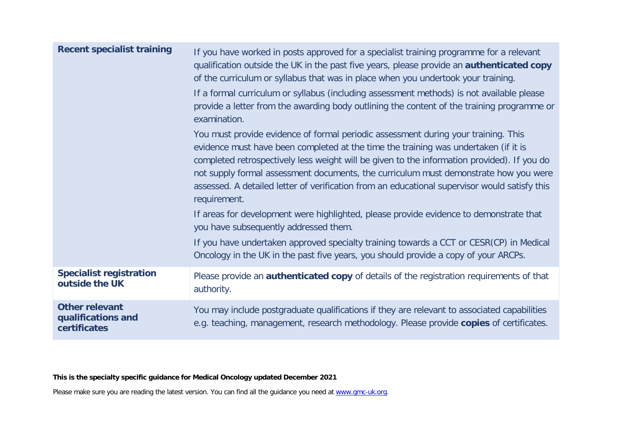| <b>Recent specialist training</b>                           | If you have worked in posts approved for a specialist training programme for a relevant<br>qualification outside the UK in the past five years, please provide an <b>authenticated copy</b><br>of the curriculum or syllabus that was in place when you undertook your training.<br>If a formal curriculum or syllabus (including assessment methods) is not available please<br>provide a letter from the awarding body outlining the content of the training programme or<br>examination.<br>You must provide evidence of formal periodic assessment during your training. This<br>evidence must have been completed at the time the training was undertaken (if it is |
|-------------------------------------------------------------|--------------------------------------------------------------------------------------------------------------------------------------------------------------------------------------------------------------------------------------------------------------------------------------------------------------------------------------------------------------------------------------------------------------------------------------------------------------------------------------------------------------------------------------------------------------------------------------------------------------------------------------------------------------------------|
|                                                             | completed retrospectively less weight will be given to the information provided). If you do<br>not supply formal assessment documents, the curriculum must demonstrate how you were<br>assessed. A detailed letter of verification from an educational supervisor would satisfy this<br>requirement.                                                                                                                                                                                                                                                                                                                                                                     |
|                                                             | If areas for development were highlighted, please provide evidence to demonstrate that<br>you have subsequently addressed them.                                                                                                                                                                                                                                                                                                                                                                                                                                                                                                                                          |
|                                                             | If you have undertaken approved specialty training towards a CCT or CESR(CP) in Medical<br>Oncology in the UK in the past five years, you should provide a copy of your ARCPs.                                                                                                                                                                                                                                                                                                                                                                                                                                                                                           |
| <b>Specialist registration</b><br>outside the UK            | Please provide an <b>authenticated copy</b> of details of the registration requirements of that<br>authority.                                                                                                                                                                                                                                                                                                                                                                                                                                                                                                                                                            |
| <b>Other relevant</b><br>qualifications and<br>certificates | You may include postgraduate qualifications if they are relevant to associated capabilities<br>e.g. teaching, management, research methodology. Please provide copies of certificates.                                                                                                                                                                                                                                                                                                                                                                                                                                                                                   |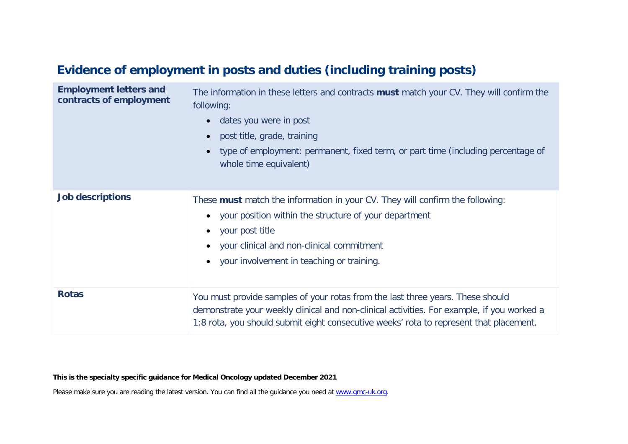# **Evidence of employment in posts and duties (including training posts)**

| <b>Employment letters and</b><br>contracts of employment | The information in these letters and contracts <b>must</b> match your CV. They will confirm the<br>following:<br>dates you were in post<br>post title, grade, training<br>type of employment: permanent, fixed term, or part time (including percentage of<br>whole time equivalent) |
|----------------------------------------------------------|--------------------------------------------------------------------------------------------------------------------------------------------------------------------------------------------------------------------------------------------------------------------------------------|
| <b>Job descriptions</b>                                  | These must match the information in your CV. They will confirm the following:<br>your position within the structure of your department<br>$\bullet$<br>your post title<br>$\bullet$<br>your clinical and non-clinical commitment<br>your involvement in teaching or training.        |
| <b>Rotas</b>                                             | You must provide samples of your rotas from the last three years. These should<br>demonstrate your weekly clinical and non-clinical activities. For example, if you worked a<br>1:8 rota, you should submit eight consecutive weeks' rota to represent that placement.               |

**This is the specialty specific guidance for Medical Oncology updated December 2021**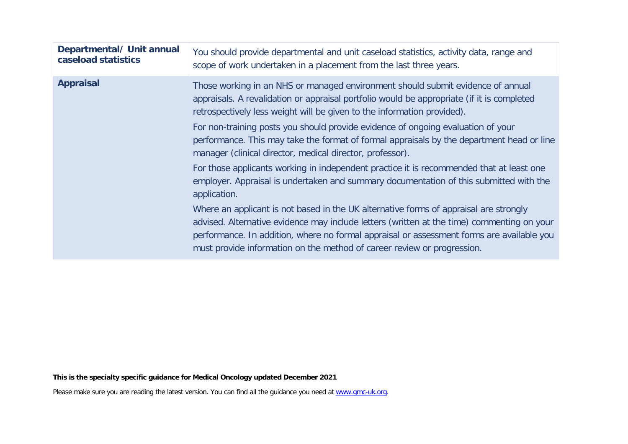| Departmental/ Unit annual<br>caseload statistics | You should provide departmental and unit caseload statistics, activity data, range and<br>scope of work undertaken in a placement from the last three years.                                                                                                                                                                                                |
|--------------------------------------------------|-------------------------------------------------------------------------------------------------------------------------------------------------------------------------------------------------------------------------------------------------------------------------------------------------------------------------------------------------------------|
| <b>Appraisal</b>                                 | Those working in an NHS or managed environment should submit evidence of annual<br>appraisals. A revalidation or appraisal portfolio would be appropriate (if it is completed<br>retrospectively less weight will be given to the information provided).                                                                                                    |
|                                                  | For non-training posts you should provide evidence of ongoing evaluation of your<br>performance. This may take the format of formal appraisals by the department head or line<br>manager (clinical director, medical director, professor).                                                                                                                  |
|                                                  | For those applicants working in independent practice it is recommended that at least one<br>employer. Appraisal is undertaken and summary documentation of this submitted with the<br>application.                                                                                                                                                          |
|                                                  | Where an applicant is not based in the UK alternative forms of appraisal are strongly<br>advised. Alternative evidence may include letters (written at the time) commenting on your<br>performance. In addition, where no formal appraisal or assessment forms are available you<br>must provide information on the method of career review or progression. |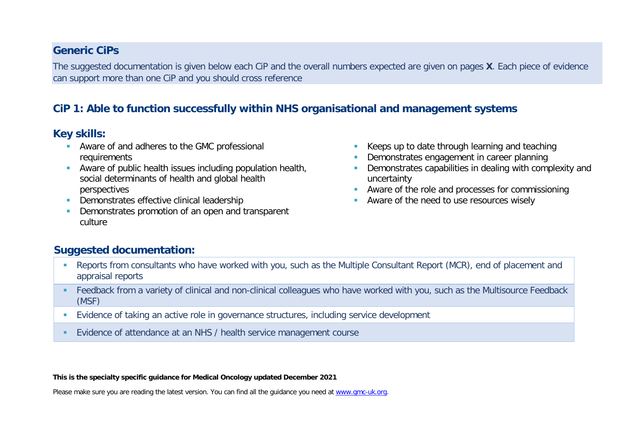#### **Generic CiPs**

The suggested documentation is given below each CiP and the overall numbers expected are given on pages **X**. Each piece of evidence can support more than one CiP and you should cross reference

# **CiP 1: Able to function successfully within NHS organisational and management systems**

#### **Key skills:**

- **Aware of and adheres to the GMC professional** requirements
- Aware of public health issues including population health, social determinants of health and global health perspectives
- **Demonstrates effective clinical leadership**
- Demonstrates promotion of an open and transparent culture
- Keeps up to date through learning and teaching
- Demonstrates engagement in career planning
- **Demonstrates capabilities in dealing with complexity and** uncertainty
- **Aware of the role and processes for commissioning**
- **Aware of the need to use resources wisely**

# **Suggested documentation:**

- Reports from consultants who have worked with you, such as the Multiple Consultant Report (MCR), end of placement and appraisal reports
- Feedback from a variety of clinical and non-clinical colleagues who have worked with you, such as the Multisource Feedback (MSF)
- Evidence of taking an active role in governance structures, including service development
- Evidence of attendance at an NHS / health service management course

**This is the specialty specific guidance for Medical Oncology updated December 2021**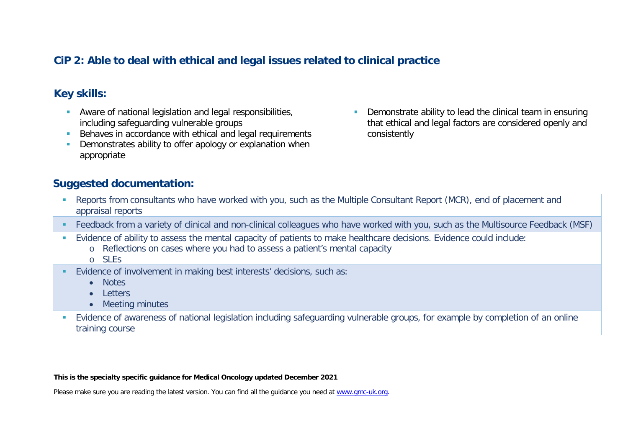### **CiP 2: Able to deal with ethical and legal issues related to clinical practice**

# **Key skills:**

- **Aware of national legislation and legal responsibilities,** including safeguarding vulnerable groups
- Behaves in accordance with ethical and legal requirements
- **•** Demonstrates ability to offer apology or explanation when appropriate
- Demonstrate ability to lead the clinical team in ensuring that ethical and legal factors are considered openly and consistently

#### **Suggested documentation:**

- Reports from consultants who have worked with you, such as the Multiple Consultant Report (MCR), end of placement and appraisal reports
- Feedback from a variety of clinical and non-clinical colleagues who have worked with you, such as the Multisource Feedback (MSF)
- Evidence of ability to assess the mental capacity of patients to make healthcare decisions. Evidence could include:
	- o Reflections on cases where you had to assess a patient's mental capacity
	- o SLEs
- Evidence of involvement in making best interests' decisions, such as:
	- Notes
	- Letters
	- Meeting minutes
- Evidence of awareness of national legislation including safeguarding vulnerable groups, for example by completion of an online training course

#### **This is the specialty specific guidance for Medical Oncology updated December 2021**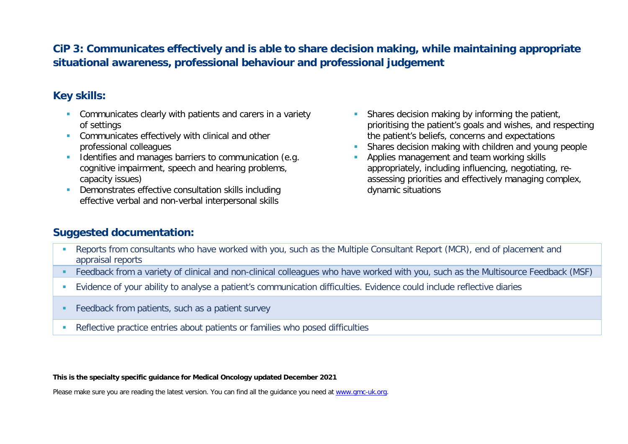# **CiP 3: Communicates effectively and is able to share decision making, while maintaining appropriate situational awareness, professional behaviour and professional judgement**

# **Key skills:**

- **Communicates clearly with patients and carers in a variety** of settings
- **Communicates effectively with clinical and other** professional colleagues
- Identifies and manages barriers to communication (e.g. cognitive impairment, speech and hearing problems, capacity issues)
- Demonstrates effective consultation skills including effective verbal and non-verbal interpersonal skills
- **Shares decision making by informing the patient,** prioritising the patient's goals and wishes, and respecting the patient's beliefs, concerns and expectations
- Shares decision making with children and young people
- **Applies management and team working skills** appropriately, including influencing, negotiating, reassessing priorities and effectively managing complex, dynamic situations

#### **Suggested documentation:**

- Reports from consultants who have worked with you, such as the Multiple Consultant Report (MCR), end of placement and appraisal reports
- Feedback from a variety of clinical and non-clinical colleagues who have worked with you, such as the Multisource Feedback (MSF)
- Evidence of your ability to analyse a patient's communication difficulties. Evidence could include reflective diaries
- **Feedback from patients, such as a patient survey**
- Reflective practice entries about patients or families who posed difficulties

**This is the specialty specific guidance for Medical Oncology updated December 2021**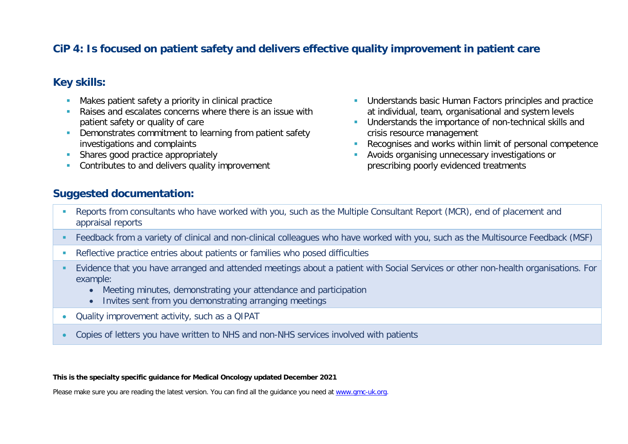### **CiP 4: Is focused on patient safety and delivers effective quality improvement in patient care**

#### **Key skills:**

- **Makes patient safety a priority in clinical practice**
- **Raises and escalates concerns where there is an issue with** patient safety or quality of care
- **Demonstrates commitment to learning from patient safety** investigations and complaints
- Shares good practice appropriately
- Contributes to and delivers quality improvement
- **Understands basic Human Factors principles and practice** at individual, team, organisational and system levels **Understands the importance of non-technical skills and**
- crisis resource management Recognises and works within limit of personal competence
- Avoids organising unnecessary investigations or prescribing poorly evidenced treatments

### **Suggested documentation:**

- Reports from consultants who have worked with you, such as the Multiple Consultant Report (MCR), end of placement and appraisal reports
- Feedback from a variety of clinical and non-clinical colleagues who have worked with you, such as the Multisource Feedback (MSF)
- Reflective practice entries about patients or families who posed difficulties
- Evidence that you have arranged and attended meetings about a patient with Social Services or other non-health organisations. For example:
	- Meeting minutes, demonstrating your attendance and participation
	- Invites sent from you demonstrating arranging meetings
- Quality improvement activity, such as a QIPAT
- Copies of letters you have written to NHS and non-NHS services involved with patients

**This is the specialty specific guidance for Medical Oncology updated December 2021**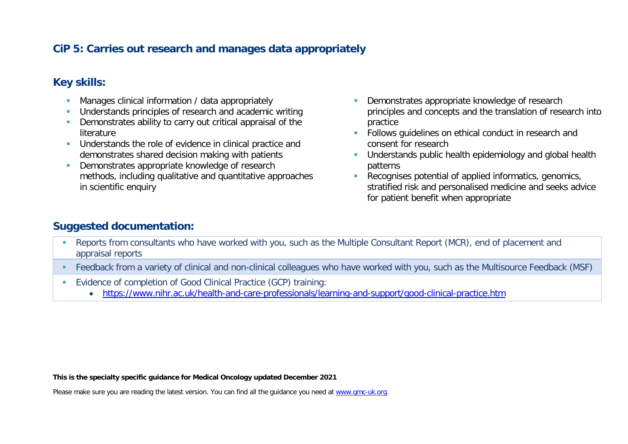# **CiP 5: Carries out research and manages data appropriately**

## **Key skills:**

- **Manages clinical information / data appropriately**
- **Understands principles of research and academic writing**
- **•** Demonstrates ability to carry out critical appraisal of the literature
- **Understands the role of evidence in clinical practice and** demonstrates shared decision making with patients
- Demonstrates appropriate knowledge of research methods, including qualitative and quantitative approaches in scientific enquiry
- Demonstrates appropriate knowledge of research principles and concepts and the translation of research into practice
- **Follows quidelines on ethical conduct in research and** consent for research
- **Understands public health epidemiology and global health** patterns
- Recognises potential of applied informatics, genomics, stratified risk and personalised medicine and seeks advice for patient benefit when appropriate

### **Suggested documentation:**

- Reports from consultants who have worked with you, such as the Multiple Consultant Report (MCR), end of placement and appraisal reports
- Feedback from a variety of clinical and non-clinical colleagues who have worked with you, such as the Multisource Feedback (MSF)
- Evidence of completion of Good Clinical Practice (GCP) training:
	- <https://www.nihr.ac.uk/health-and-care-professionals/learning-and-support/good-clinical-practice.htm>

**This is the specialty specific guidance for Medical Oncology updated December 2021**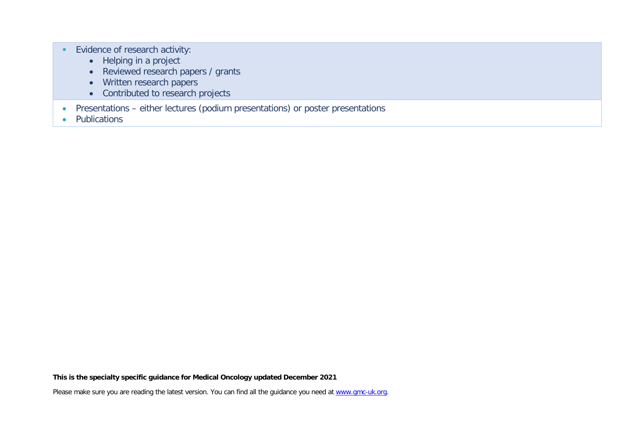- Evidence of research activity:
	- Helping in a project
	- Reviewed research papers / grants
	- Written research papers
	- Contributed to research projects
- Presentations either lectures (podium presentations) or poster presentations
- Publications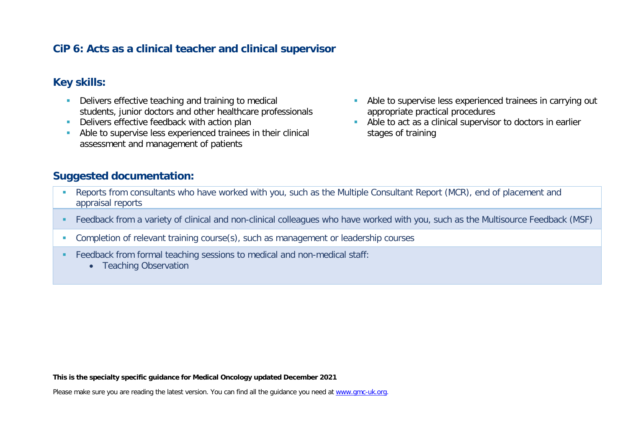### **CiP 6: Acts as a clinical teacher and clinical supervisor**

### **Key skills:**

- **Delivers effective teaching and training to medical** students, junior doctors and other healthcare professionals
- Delivers effective feedback with action plan
- Able to supervise less experienced trainees in their clinical assessment and management of patients
- Able to supervise less experienced trainees in carrying out appropriate practical procedures
- Able to act as a clinical supervisor to doctors in earlier stages of training

### **Suggested documentation:**

- **-** Reports from consultants who have worked with you, such as the Multiple Consultant Report (MCR), end of placement and appraisal reports
- Feedback from a variety of clinical and non-clinical colleagues who have worked with you, such as the Multisource Feedback (MSF)
- **Completion of relevant training course(s), such as management or leadership courses**
- Feedback from formal teaching sessions to medical and non-medical staff:
	- Teaching Observation

**This is the specialty specific guidance for Medical Oncology updated December 2021**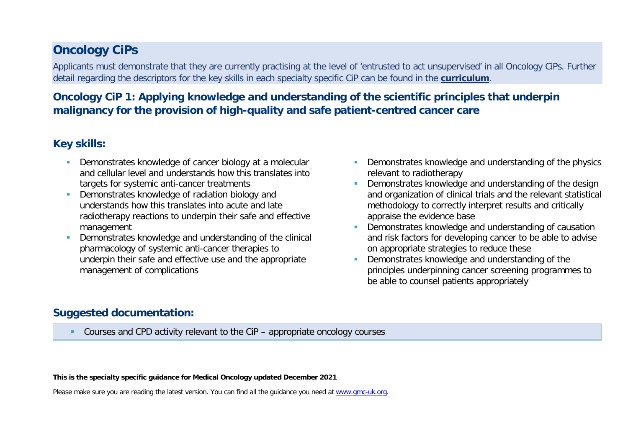# **Oncology CiPs**

Applicants must demonstrate that they are currently practising at the level of 'entrusted to act unsupervised' in all Oncology CiPs. Further detail regarding the descriptors for the key skills in each specialty specific CiP can be found in the **[curriculum](https://www.gmc-uk.org/education/standards-guidance-and-curricula/curricula/rehabilitation-medicine-curriculum)**.

# **Oncology CiP 1: Applying knowledge and understanding of the scientific principles that underpin malignancy for the provision of high-quality and safe patient-centred cancer care**

### **Key skills:**

- **Demonstrates knowledge of cancer biology at a molecular** and cellular level and understands how this translates into targets for systemic anti-cancer treatments
- **Demonstrates knowledge of radiation biology and** understands how this translates into acute and late radiotherapy reactions to underpin their safe and effective management
- Demonstrates knowledge and understanding of the clinical pharmacology of systemic anti-cancer therapies to underpin their safe and effective use and the appropriate management of complications
- **Demonstrates knowledge and understanding of the physics** relevant to radiotherapy
- **•** Demonstrates knowledge and understanding of the design and organization of clinical trials and the relevant statistical methodology to correctly interpret results and critically appraise the evidence base
- Demonstrates knowledge and understanding of causation and risk factors for developing cancer to be able to advise on appropriate strategies to reduce these
- Demonstrates knowledge and understanding of the principles underpinning cancer screening programmes to be able to counsel patients appropriately

# **Suggested documentation:**

Courses and CPD activity relevant to the CiP – appropriate oncology courses

**This is the specialty specific guidance for Medical Oncology updated December 2021**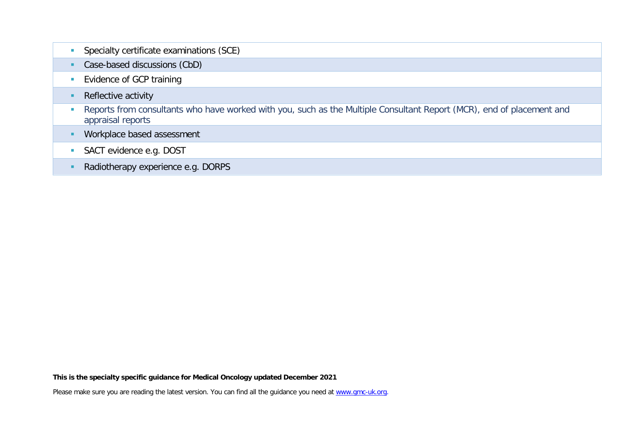| Specialty certificate examinations (SCE)                                                                                                   |
|--------------------------------------------------------------------------------------------------------------------------------------------|
| Case-based discussions (CbD)                                                                                                               |
| Evidence of GCP training                                                                                                                   |
| Reflective activity                                                                                                                        |
| Reports from consultants who have worked with you, such as the Multiple Consultant Report (MCR), end of placement and<br>appraisal reports |
| Workplace based assessment                                                                                                                 |
| SACT evidence e.g. DOST                                                                                                                    |
| Radiotherapy experience e.g. DORPS                                                                                                         |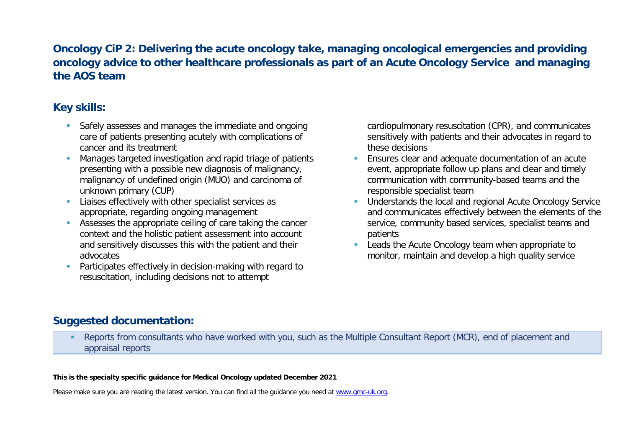# **Oncology CiP 2: Delivering the acute oncology take, managing oncological emergencies and providing oncology advice to other healthcare professionals as part of an Acute Oncology Service and managing the AOS team**

# **Key skills:**

- **Safely assesses and manages the immediate and ongoing** care of patients presenting acutely with complications of cancer and its treatment
- Manages targeted investigation and rapid triage of patients presenting with a possible new diagnosis of malignancy, malignancy of undefined origin (MUO) and carcinoma of unknown primary (CUP)
- **Liaises effectively with other specialist services as** appropriate, regarding ongoing management
- Assesses the appropriate ceiling of care taking the cancer context and the holistic patient assessment into account and sensitively discusses this with the patient and their advocates
- **Participates effectively in decision-making with regard to** resuscitation, including decisions not to attempt

cardiopulmonary resuscitation (CPR), and communicates sensitively with patients and their advocates in regard to these decisions

- Ensures clear and adequate documentation of an acute event, appropriate follow up plans and clear and timely communication with community-based teams and the responsible specialist team
- **Understands the local and regional Acute Oncology Service** and communicates effectively between the elements of the service, community based services, specialist teams and patients
- **Leads the Acute Oncology team when appropriate to** monitor, maintain and develop a high quality service

# **Suggested documentation:**

 Reports from consultants who have worked with you, such as the Multiple Consultant Report (MCR), end of placement and appraisal reports

#### **This is the specialty specific guidance for Medical Oncology updated December 2021**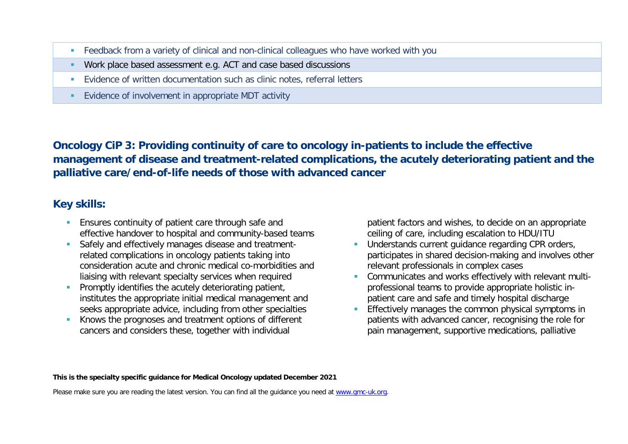- Feedback from a variety of clinical and non-clinical colleagues who have worked with you
- Work place based assessment e.g. ACT and case based discussions
- **Evidence of written documentation such as clinic notes, referral letters**
- Evidence of involvement in appropriate MDT activity

**Oncology CiP 3: Providing continuity of care to oncology in-patients to include the effective management of disease and treatment-related complications, the acutely deteriorating patient and the palliative care/end-of-life needs of those with advanced cancer**

# **Key skills:**

- **Ensures continuity of patient care through safe and** effective handover to hospital and community-based teams
- Safely and effectively manages disease and treatmentrelated complications in oncology patients taking into consideration acute and chronic medical co-morbidities and liaising with relevant specialty services when required
- **Promptly identifies the acutely deteriorating patient,** institutes the appropriate initial medical management and seeks appropriate advice, including from other specialties
- Knows the prognoses and treatment options of different cancers and considers these, together with individual

patient factors and wishes, to decide on an appropriate ceiling of care, including escalation to HDU/ITU

- Understands current guidance regarding CPR orders, participates in shared decision-making and involves other relevant professionals in complex cases
- Communicates and works effectively with relevant multiprofessional teams to provide appropriate holistic inpatient care and safe and timely hospital discharge
- Effectively manages the common physical symptoms in patients with advanced cancer, recognising the role for pain management, supportive medications, palliative

**This is the specialty specific guidance for Medical Oncology updated December 2021**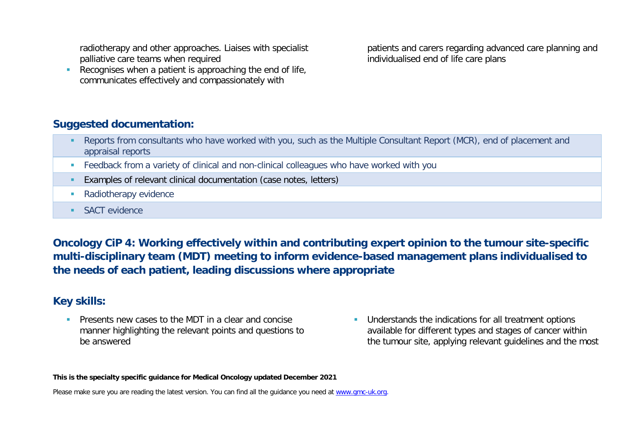radiotherapy and other approaches. Liaises with specialist palliative care teams when required

Recognises when a patient is approaching the end of life, communicates effectively and compassionately with

patients and carers regarding advanced care planning and individualised end of life care plans

### **Suggested documentation:**

- Reports from consultants who have worked with you, such as the Multiple Consultant Report (MCR), end of placement and appraisal reports
- **Feedback from a variety of clinical and non-clinical colleagues who have worked with you**
- Examples of relevant clinical documentation (case notes, letters)
- Radiotherapy evidence
- **SACT** evidence

**Oncology CiP 4: Working effectively within and contributing expert opinion to the tumour site-specific multi-disciplinary team (MDT) meeting to inform evidence-based management plans individualised to the needs of each patient, leading discussions where appropriate**

### **Key skills:**

**Presents new cases to the MDT in a clear and concise** manner highlighting the relevant points and questions to be answered

**Understands the indications for all treatment options** available for different types and stages of cancer within the tumour site, applying relevant guidelines and the most

**This is the specialty specific guidance for Medical Oncology updated December 2021**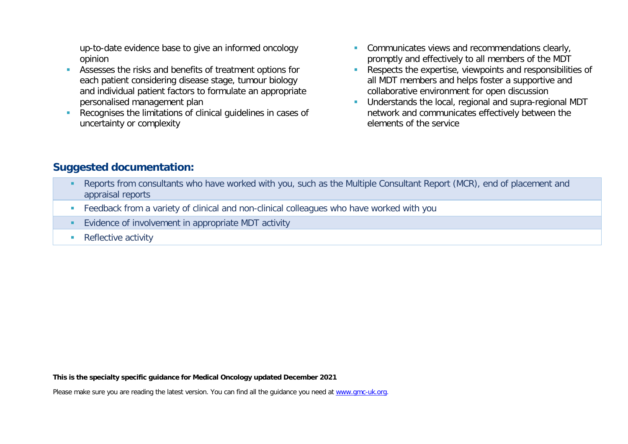up-to-date evidence base to give an informed oncology opinion

- Assesses the risks and benefits of treatment options for each patient considering disease stage, tumour biology and individual patient factors to formulate an appropriate personalised management plan
- Recognises the limitations of clinical guidelines in cases of uncertainty or complexity
- **Communicates views and recommendations clearly,** promptly and effectively to all members of the MDT
- Respects the expertise, viewpoints and responsibilities of all MDT members and helps foster a supportive and collaborative environment for open discussion
- **Understands the local, regional and supra-regional MDT** network and communicates effectively between the elements of the service

### **Suggested documentation:**

- Reports from consultants who have worked with you, such as the Multiple Consultant Report (MCR), end of placement and appraisal reports
- Feedback from a variety of clinical and non-clinical colleagues who have worked with you
- **Evidence of involvement in appropriate MDT activity**
- Reflective activity

**This is the specialty specific guidance for Medical Oncology updated December 2021**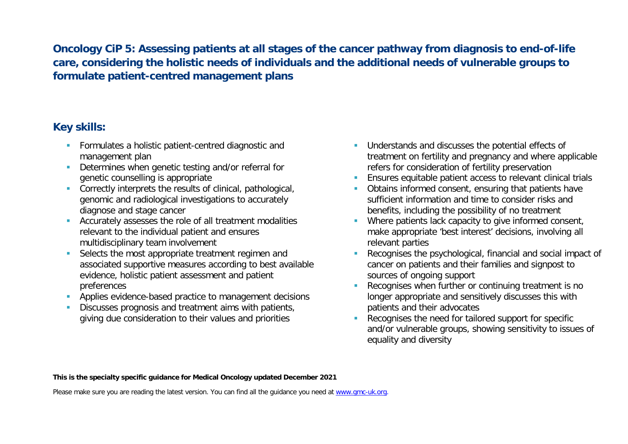**Oncology CiP 5: Assessing patients at all stages of the cancer pathway from diagnosis to end-of-life care, considering the holistic needs of individuals and the additional needs of vulnerable groups to formulate patient-centred management plans**

# **Key skills:**

- **Formulates a holistic patient-centred diagnostic and** management plan
- Determines when genetic testing and/or referral for genetic counselling is appropriate
- Correctly interprets the results of clinical, pathological, genomic and radiological investigations to accurately diagnose and stage cancer
- **Accurately assesses the role of all treatment modalities** relevant to the individual patient and ensures multidisciplinary team involvement
- Selects the most appropriate treatment regimen and associated supportive measures according to best available evidence, holistic patient assessment and patient preferences
- **Applies evidence-based practice to management decisions**
- Discusses prognosis and treatment aims with patients, giving due consideration to their values and priorities
- **Understands and discusses the potential effects of** treatment on fertility and pregnancy and where applicable refers for consideration of fertility preservation
- Ensures equitable patient access to relevant clinical trials
- **Obtains informed consent, ensuring that patients have** sufficient information and time to consider risks and benefits, including the possibility of no treatment
- **Where patients lack capacity to give informed consent,** make appropriate 'best interest' decisions, involving all relevant parties
- Recognises the psychological, financial and social impact of cancer on patients and their families and signpost to sources of ongoing support
- Recognises when further or continuing treatment is no longer appropriate and sensitively discusses this with patients and their advocates
- Recognises the need for tailored support for specific and/or vulnerable groups, showing sensitivity to issues of equality and diversity

**This is the specialty specific guidance for Medical Oncology updated December 2021**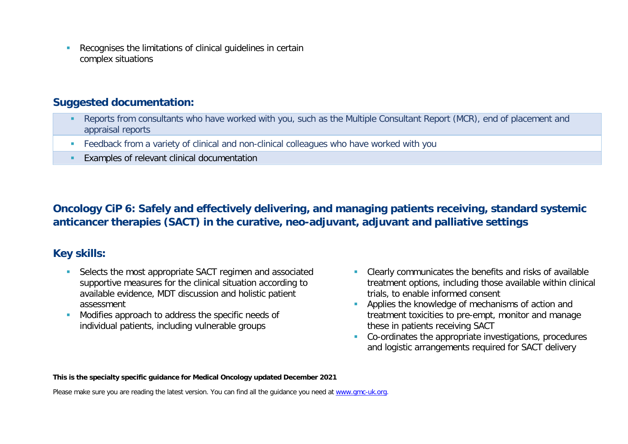Recognises the limitations of clinical guidelines in certain complex situations

#### **Suggested documentation:**

- Reports from consultants who have worked with you, such as the Multiple Consultant Report (MCR), end of placement and appraisal reports
- Feedback from a variety of clinical and non-clinical colleagues who have worked with you
- **Examples of relevant clinical documentation**

# **Oncology CiP 6: Safely and effectively delivering, and managing patients receiving, standard systemic anticancer therapies (SACT) in the curative, neo-adjuvant, adjuvant and palliative settings**

### **Key skills:**

- Selects the most appropriate SACT regimen and associated supportive measures for the clinical situation according to available evidence, MDT discussion and holistic patient assessment
- Modifies approach to address the specific needs of individual patients, including vulnerable groups
- **Clearly communicates the benefits and risks of available** treatment options, including those available within clinical trials, to enable informed consent
- **Applies the knowledge of mechanisms of action and** treatment toxicities to pre-empt, monitor and manage these in patients receiving SACT
- Co-ordinates the appropriate investigations, procedures and logistic arrangements required for SACT delivery

#### **This is the specialty specific guidance for Medical Oncology updated December 2021**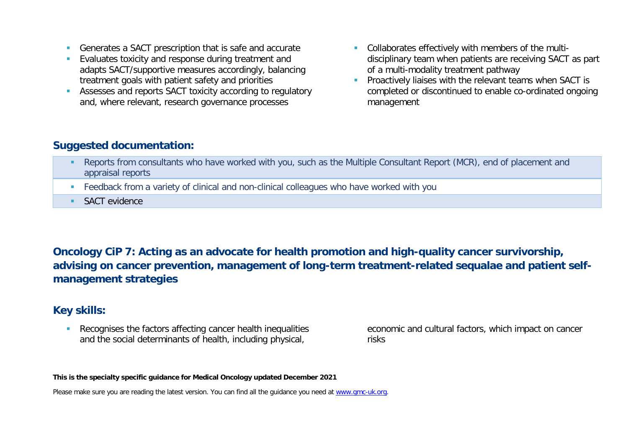- Generates a SACT prescription that is safe and accurate
- **Evaluates toxicity and response during treatment and** adapts SACT/supportive measures accordingly, balancing treatment goals with patient safety and priorities
- Assesses and reports SACT toxicity according to regulatory and, where relevant, research governance processes
- Collaborates effectively with members of the multidisciplinary team when patients are receiving SACT as part of a multi-modality treatment pathway
- **Proactively liaises with the relevant teams when SACT is** completed or discontinued to enable co-ordinated ongoing management

### **Suggested documentation:**

- **Reports from consultants who have worked with you, such as the Multiple Consultant Report (MCR), end of placement and** appraisal reports
- **Feedback from a variety of clinical and non-clinical colleagues who have worked with you**
- **SACT** evidence

# **Oncology CiP 7: Acting as an advocate for health promotion and high-quality cancer survivorship, advising on cancer prevention, management of long-term treatment-related sequalae and patient selfmanagement strategies**

### **Key skills:**

 Recognises the factors affecting cancer health inequalities and the social determinants of health, including physical,

economic and cultural factors, which impact on cancer risks

**This is the specialty specific guidance for Medical Oncology updated December 2021**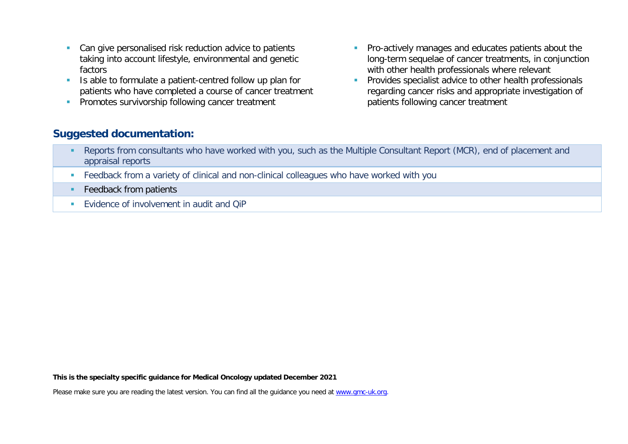- Can give personalised risk reduction advice to patients taking into account lifestyle, environmental and genetic factors
- If Is able to formulate a patient-centred follow up plan for patients who have completed a course of cancer treatment
- **Promotes survivorship following cancer treatment**
- **Pro-actively manages and educates patients about the** long-term sequelae of cancer treatments, in conjunction with other health professionals where relevant
- **Provides specialist advice to other health professionals** regarding cancer risks and appropriate investigation of patients following cancer treatment

#### **Suggested documentation:**

- **-** Reports from consultants who have worked with you, such as the Multiple Consultant Report (MCR), end of placement and appraisal reports
- Feedback from a variety of clinical and non-clinical colleagues who have worked with you
- **Feedback from patients**
- **EVIDENCE OF INVOLVEMENT IN AUDIT AND COP**

**This is the specialty specific guidance for Medical Oncology updated December 2021**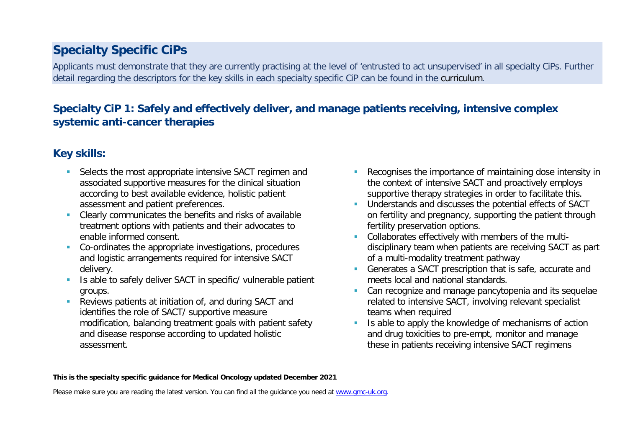# **Specialty Specific CiPs**

Applicants must demonstrate that they are currently practising at the level of 'entrusted to act unsupervised' in all specialty CiPs. Further detail regarding the descriptors for the key skills in each specialty specific CiP can be found in the curriculum.

# **Specialty CiP 1: Safely and effectively deliver, and manage patients receiving, intensive complex systemic anti-cancer therapies**

# **Key skills:**

- Selects the most appropriate intensive SACT regimen and associated supportive measures for the clinical situation according to best available evidence, holistic patient assessment and patient preferences.
- Clearly communicates the benefits and risks of available treatment options with patients and their advocates to enable informed consent.
- Co-ordinates the appropriate investigations, procedures and logistic arrangements required for intensive SACT delivery.
- Is able to safely deliver SACT in specific/ vulnerable patient groups.
- **Reviews patients at initiation of, and during SACT and** identifies the role of SACT/ supportive measure modification, balancing treatment goals with patient safety and disease response according to updated holistic assessment.
- **Recognises the importance of maintaining dose intensity in** the context of intensive SACT and proactively employs supportive therapy strategies in order to facilitate this.
- **Understands and discusses the potential effects of SACT** on fertility and pregnancy, supporting the patient through fertility preservation options.
- Collaborates effectively with members of the multidisciplinary team when patients are receiving SACT as part of a multi-modality treatment pathway
- Generates a SACT prescription that is safe, accurate and meets local and national standards.
- **Can recognize and manage pancytopenia and its sequelae** related to intensive SACT, involving relevant specialist teams when required
- I Is able to apply the knowledge of mechanisms of action and drug toxicities to pre-empt, monitor and manage these in patients receiving intensive SACT regimens

#### **This is the specialty specific guidance for Medical Oncology updated December 2021**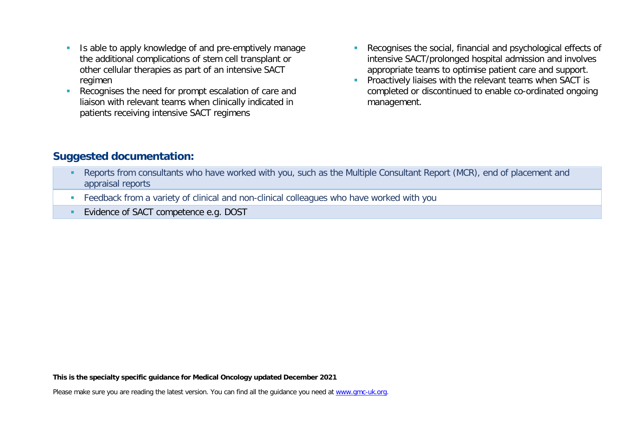- I Is able to apply knowledge of and pre-emptively manage the additional complications of stem cell transplant or other cellular therapies as part of an intensive SACT regimen
- Recognises the need for prompt escalation of care and liaison with relevant teams when clinically indicated in patients receiving intensive SACT regimens
- Recognises the social, financial and psychological effects of intensive SACT/prolonged hospital admission and involves appropriate teams to optimise patient care and support.
- **Proactively liaises with the relevant teams when SACT is** completed or discontinued to enable co-ordinated ongoing management.

### **Suggested documentation:**

- Reports from consultants who have worked with you, such as the Multiple Consultant Report (MCR), end of placement and appraisal reports
- Feedback from a variety of clinical and non-clinical colleagues who have worked with you
- **Evidence of SACT competence e.g. DOST**

**This is the specialty specific guidance for Medical Oncology updated December 2021**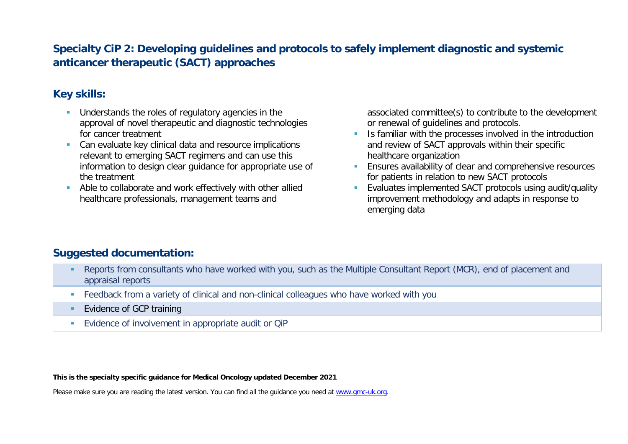# **Specialty CiP 2: Developing guidelines and protocols to safely implement diagnostic and systemic anticancer therapeutic (SACT) approaches**

# **Key skills:**

- **Understands the roles of regulatory agencies in the** approval of novel therapeutic and diagnostic technologies for cancer treatment
- **Can evaluate key clinical data and resource implications** relevant to emerging SACT regimens and can use this information to design clear guidance for appropriate use of the treatment
- Able to collaborate and work effectively with other allied healthcare professionals, management teams and

associated committee(s) to contribute to the development or renewal of guidelines and protocols.

- I Is familiar with the processes involved in the introduction and review of SACT approvals within their specific healthcare organization
- **Ensures availability of clear and comprehensive resources** for patients in relation to new SACT protocols
- Evaluates implemented SACT protocols using audit/quality improvement methodology and adapts in response to emerging data

### **Suggested documentation:**

- Reports from consultants who have worked with you, such as the Multiple Consultant Report (MCR), end of placement and appraisal reports
- **Feedback from a variety of clinical and non-clinical colleagues who have worked with you**
- **Evidence of GCP training**
- **Evidence of involvement in appropriate audit or QiP**

**This is the specialty specific guidance for Medical Oncology updated December 2021**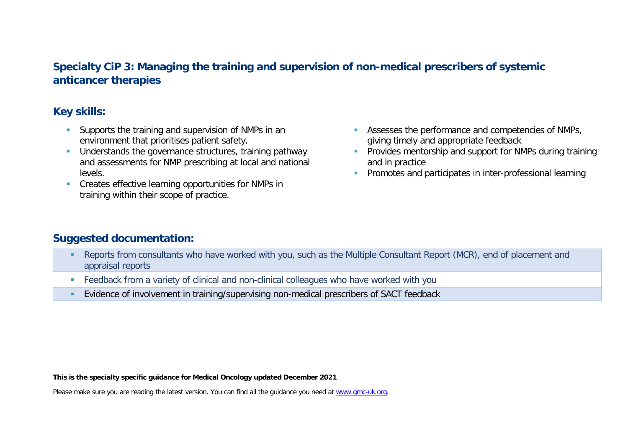# **Specialty CiP 3: Managing the training and supervision of non-medical prescribers of systemic anticancer therapies**

### **Key skills:**

- **Supports the training and supervision of NMPs in an** environment that prioritises patient safety.
- Understands the governance structures, training pathway and assessments for NMP prescribing at local and national levels.
- **Creates effective learning opportunities for NMPs in** training within their scope of practice.
- **Assesses the performance and competencies of NMPs,** giving timely and appropriate feedback
- **Provides mentorship and support for NMPs during training** and in practice
- **Promotes and participates in inter-professional learning**

# **Suggested documentation:**

- Reports from consultants who have worked with you, such as the Multiple Consultant Report (MCR), end of placement and appraisal reports
- Feedback from a variety of clinical and non-clinical colleagues who have worked with you
- Evidence of involvement in training/supervising non-medical prescribers of SACT feedback

**This is the specialty specific guidance for Medical Oncology updated December 2021**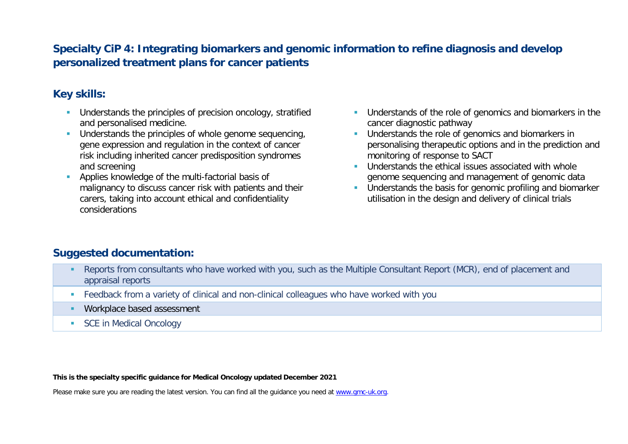# **Specialty CiP 4: Integrating biomarkers and genomic information to refine diagnosis and develop personalized treatment plans for cancer patients**

# **Key skills:**

- **Understands the principles of precision oncology, stratified** and personalised medicine.
- Understands the principles of whole genome sequencing. gene expression and regulation in the context of cancer risk including inherited cancer predisposition syndromes and screening
- **Applies knowledge of the multi-factorial basis of** malignancy to discuss cancer risk with patients and their carers, taking into account ethical and confidentiality considerations
- **Understands of the role of genomics and biomarkers in the** cancer diagnostic pathway
- **Understands the role of genomics and biomarkers in** personalising therapeutic options and in the prediction and monitoring of response to SACT
- **Understands the ethical issues associated with whole** genome sequencing and management of genomic data
- **Understands the basis for genomic profiling and biomarker** utilisation in the design and delivery of clinical trials

### **Suggested documentation:**

- Reports from consultants who have worked with you, such as the Multiple Consultant Report (MCR), end of placement and appraisal reports
- **Feedback from a variety of clinical and non-clinical colleagues who have worked with you**
- **Workplace based assessment**
- SCE in Medical Oncology

**This is the specialty specific guidance for Medical Oncology updated December 2021**